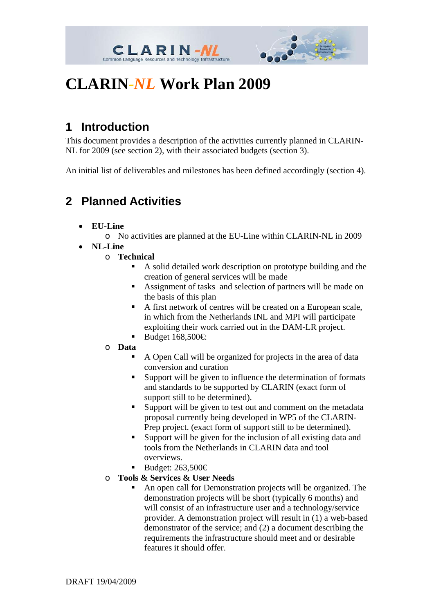



# **CLARIN***-NL* **Work Plan 2009**

## **1 Introduction**

This document provides a description of the activities currently planned in CLARIN-NL for 2009 (see section 2), with their associated budgets (section 3).

An initial list of deliverables and milestones has been defined accordingly (section 4).

### **2 Planned Activities**

• **EU-Line** 

o No activities are planned at the EU-Line within CLARIN-NL in 2009

• **NL-Line** 

o **Technical** 

- A solid detailed work description on prototype building and the creation of general services will be made
- Assignment of tasks and selection of partners will be made on the basis of this plan
- A first network of centres will be created on a European scale, in which from the Netherlands INL and MPI will participate exploiting their work carried out in the DAM-LR project.
- Budget  $168,500 \in$
- o **Data** 
	- A Open Call will be organized for projects in the area of data conversion and curation
	- Support will be given to influence the determination of formats and standards to be supported by CLARIN (exact form of support still to be determined).
	- Support will be given to test out and comment on the metadata proposal currently being developed in WP5 of the CLARIN-Prep project. (exact form of support still to be determined).
	- Support will be given for the inclusion of all existing data and tools from the Netherlands in CLARIN data and tool overviews.
	- Budget:  $263,500 \in$
- o **Tools & Services & User Needs** 
	- An open call for Demonstration projects will be organized. The demonstration projects will be short (typically 6 months) and will consist of an infrastructure user and a technology/service provider. A demonstration project will result in (1) a web-based demonstrator of the service; and (2) a document describing the requirements the infrastructure should meet and or desirable features it should offer.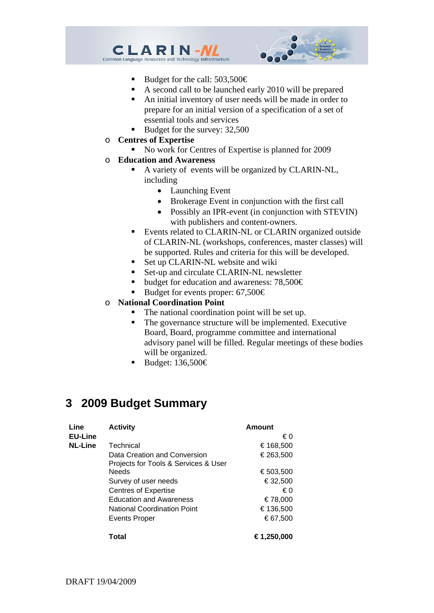



- Budget for the call:  $503,500 \in$
- A second call to be launched early 2010 will be prepared
- An initial inventory of user needs will be made in order to prepare for an initial version of a specification of a set of essential tools and services
- Budget for the survey: 32,500
- o **Centres of Expertise** 
	- No work for Centres of Expertise is planned for 2009
- o **Education and Awareness** 
	- A variety of events will be organized by CLARIN-NL, including
		- Launching Event
		- Brokerage Event in conjunction with the first call
		- Possibly an IPR-event (in conjunction with STEVIN) with publishers and content-owners.
	- **Events related to CLARIN-NL or CLARIN organized outside** of CLARIN-NL (workshops, conferences, master classes) will be supported. Rules and criteria for this will be developed.
	- Set up CLARIN-NL website and wiki
	- Set-up and circulate CLARIN-NL newsletter
	- budget for education and awareness: 78,500€
	- Budget for events proper:  $67,500 \in$
- o **National Coordination Point** 
	- The national coordination point will be set up.
	- The governance structure will be implemented. Executive Board, Board, programme committee and international advisory panel will be filled. Regular meetings of these bodies will be organized.
	- Budget: 136,500€

#### **3 2009 Budget Summary**

| Line<br><b>EU-Line</b> | <b>Activity</b>                      | Amount<br>€∩ |
|------------------------|--------------------------------------|--------------|
| <b>NL-Line</b>         | Technical                            | €168,500     |
|                        | Data Creation and Conversion         | €263,500     |
|                        | Projects for Tools & Services & User |              |
|                        | <b>Needs</b>                         | €503,500     |
|                        | Survey of user needs                 | €32,500      |
|                        | <b>Centres of Expertise</b>          | € 0          |
|                        | <b>Education and Awareness</b>       | €78.000      |
|                        | <b>National Coordination Point</b>   | €136,500     |
|                        | Events Proper                        | €67,500      |
|                        | Total                                | €1,250,000   |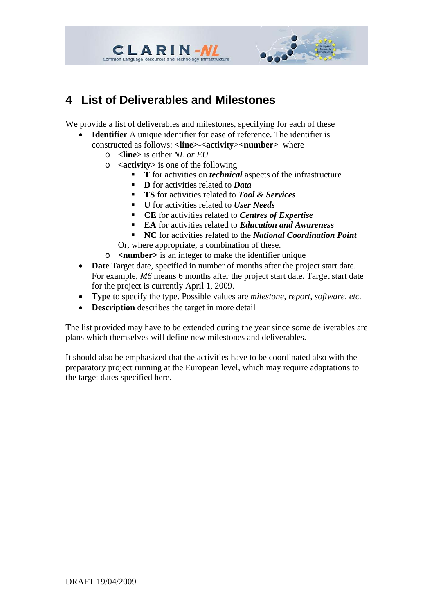

#### **4 List of Deliverables and Milestones**

**CLARIN-NL** Common Language Resources and Technology Infrastructure

We provide a list of deliverables and milestones, specifying for each of these

- **Identifier** A unique identifier for ease of reference. The identifier is constructed as follows: **<line>**-**<activity><number>** where
	- o **<line>** is either *NL or EU*
	- o **<activity>** is one of the following
		- **T** for activities on *technical* aspects of the infrastructure
			- **D** for activities related to *Data*
			- **TS** for activities related to *Tool & Services*
			- **U** for activities related to *User Needs*
			- **CE** for activities related to *Centres of Expertise*
			- **EA** for activities related to *Education and Awareness*
		- **NC** for activities related to the *National Coordination Point* Or, where appropriate, a combination of these.
	- o **<number>** is an integer to make the identifier unique
- **Date** Target date, specified in number of months after the project start date. For example, *M6* means 6 months after the project start date. Target start date for the project is currently April 1, 2009.
- **Type** to specify the type. Possible values are *milestone, report, software, etc.*
- **Description** describes the target in more detail

The list provided may have to be extended during the year since some deliverables are plans which themselves will define new milestones and deliverables.

It should also be emphasized that the activities have to be coordinated also with the preparatory project running at the European level, which may require adaptations to the target dates specified here.